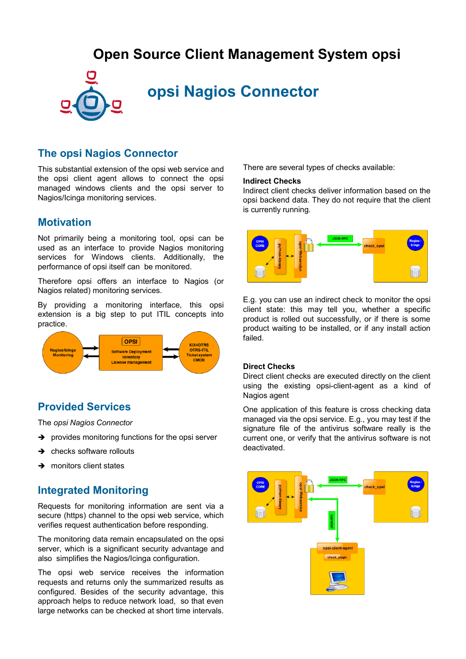## **Open Source Client Management System opsi**



# **opsi Nagios Connector**

### **The opsi Nagios Connector**

This substantial extension of the opsi web service and the opsi client agent allows to connect the opsi managed windows clients and the opsi server to Nagios/Icinga monitoring services.

### **Motivation**

Not primarily being a monitoring tool, opsi can be used as an interface to provide Nagios monitoring services for Windows clients. Additionally, the performance of opsi itself can be monitored.

Therefore opsi offers an interface to Nagios (or Nagios related) monitoring services.

By providing a monitoring interface, this opsi extension is a big step to put ITIL concepts into practice.



### **Provided Services**

The *opsi Nagios Connector*

- ➔ provides monitoring functions for the opsi server
- **→** checks software rollouts
- **→** monitors client states

### **Integrated Monitoring**

Requests for monitoring information are sent via a secure (https) channel to the opsi web service, which verifies request authentication before responding.

The monitoring data remain encapsulated on the opsi server, which is a significant security advantage and also simplifies the Nagios/Icinga configuration.

The opsi web service receives the information requests and returns only the summarized results as configured. Besides of the security advantage, this approach helps to reduce network load, so that even large networks can be checked at short time intervals. There are several types of checks available:

#### **Indirect Checks**

Indirect client checks deliver information based on the opsi backend data. They do not require that the client is currently running.



E.g. you can use an indirect check to monitor the opsi client state: this may tell you, whether a specific product is rolled out successfully, or if there is some product waiting to be installed, or if any install action failed.

#### **Direct Checks**

Direct client checks are executed directly on the client using the existing opsi-client-agent as a kind of Nagios agent

One application of this feature is cross checking data managed via the opsi service. E.g., you may test if the signature file of the antivirus software really is the current one, or verify that the antivirus software is not deactivated.